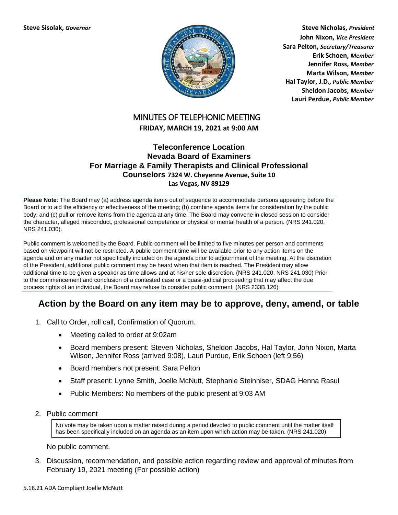

**Steve Sisolak,** *Governor* **Steve Nicholas,** *President* **John Nixon,** *Vice President* **Sara Pelton,** *Secretary/Treasurer* **Erik Schoen,** *Member* **Jennifer Ross,** *Member* **Marta Wilson,** *Member* **Hal Taylor, J.D.***, Public Member* **Sheldon Jacobs,** *Member* **Lauri Perdue,** *Public Member*

## MINUTES OF TELEPHONIC MEETING **FRIDAY, MARCH 19, 2021 at 9:00 AM**

### **Teleconference Location Nevada Board of Examiners For Marriage & Family Therapists and Clinical Professional Counselors 7324 W. Cheyenne Avenue, Suite 10 Las Vegas, NV 89129**

**Please Note**: The Board may (a) address agenda items out of sequence to accommodate persons appearing before the Board or to aid the efficiency or effectiveness of the meeting; (b) combine agenda items for consideration by the public body; and (c) pull or remove items from the agenda at any time. The Board may convene in closed session to consider the character, alleged misconduct, professional competence or physical or mental health of a person. (NRS 241.020, NRS 241.030).

Public comment is welcomed by the Board. Public comment will be limited to five minutes per person and comments based on viewpoint will not be restricted. A public comment time will be available prior to any action items on the agenda and on any matter not specifically included on the agenda prior to adjournment of the meeting. At the discretion of the President, additional public comment may be heard when that item is reached. The President may allow additional time to be given a speaker as time allows and at his/her sole discretion. (NRS 241.020, NRS 241.030) Prior to the commencement and conclusion of a contested case or a quasi-judicial proceeding that may affect the due process rights of an individual, the Board may refuse to consider public comment. (NRS 233B.126)

# **Action by the Board on any item may be to approve, deny, amend, or table**

- 1. Call to Order, roll call, Confirmation of Quorum.
	- Meeting called to order at 9:02am
	- Board members present: Steven Nicholas, Sheldon Jacobs, Hal Taylor, John Nixon, Marta Wilson, Jennifer Ross (arrived 9:08), Lauri Purdue, Erik Schoen (left 9:56)
	- Board members not present: Sara Pelton
	- Staff present: Lynne Smith, Joelle McNutt, Stephanie Steinhiser, SDAG Henna Rasul
	- Public Members: No members of the public present at 9:03 AM
- 2. Public comment

No vote may be taken upon a matter raised during a period devoted to public comment until the matter itself has been specifically included on an agenda as an item upon which action may be taken. (NRS 241.020)

No public comment.

3. Discussion, recommendation, and possible action regarding review and approval of minutes from February 19, 2021 meeting (For possible action)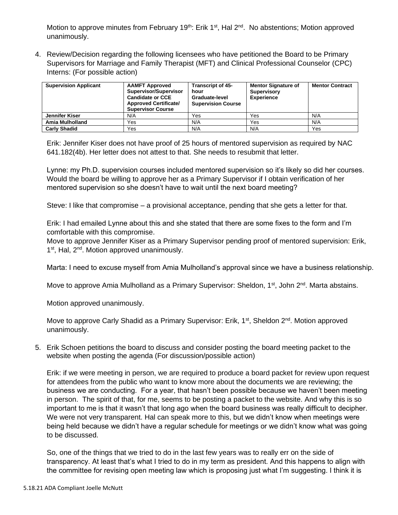Motion to approve minutes from February 19<sup>th</sup>: Erik 1<sup>st</sup>, Hal 2<sup>nd</sup>. No abstentions; Motion approved unanimously.

4. Review/Decision regarding the following licensees who have petitioned the Board to be Primary Supervisors for Marriage and Family Therapist (MFT) and Clinical Professional Counselor (CPC) Interns: (For possible action)

| <b>Supervision Applicant</b> | <b>AAMFT Approved</b><br>Supervisor/Supervisor<br><b>Candidate or CCE</b><br><b>Approved Certificate/</b><br><b>Supervisor Course</b> | <b>Transcript of 45-</b><br>hour<br>Graduate-level<br><b>Supervision Course</b> | <b>Mentor Signature of</b><br><b>Supervisory</b><br><b>Experience</b> | <b>Mentor Contract</b> |
|------------------------------|---------------------------------------------------------------------------------------------------------------------------------------|---------------------------------------------------------------------------------|-----------------------------------------------------------------------|------------------------|
| Jennifer Kiser               | N/A                                                                                                                                   | Yes                                                                             | Yes                                                                   | N/A                    |
| Amia Mulholland              | Yes                                                                                                                                   | N/A                                                                             | Yes                                                                   | N/A                    |
| <b>Carly Shadid</b>          | Yes                                                                                                                                   | N/A                                                                             | N/A                                                                   | Yes                    |

Erik: Jennifer Kiser does not have proof of 25 hours of mentored supervision as required by NAC 641.182(4b). Her letter does not attest to that. She needs to resubmit that letter.

Lynne: my Ph.D. supervision courses included mentored supervision so it's likely so did her courses. Would the board be willing to approve her as a Primary Supervisor if I obtain verification of her mentored supervision so she doesn't have to wait until the next board meeting?

Steve: I like that compromise – a provisional acceptance, pending that she gets a letter for that.

Erik: I had emailed Lynne about this and she stated that there are some fixes to the form and I'm comfortable with this compromise.

Move to approve Jennifer Kiser as a Primary Supervisor pending proof of mentored supervision: Erik, 1<sup>st</sup>, Hal, 2<sup>nd</sup>. Motion approved unanimously.

Marta: I need to excuse myself from Amia Mulholland's approval since we have a business relationship.

Move to approve Amia Mulholland as a Primary Supervisor: Sheldon, 1<sup>st</sup>, John 2<sup>nd</sup>. Marta abstains.

Motion approved unanimously.

Move to approve Carly Shadid as a Primary Supervisor: Erik,  $1^{st}$ , Sheldon  $2^{nd}$ . Motion approved unanimously.

5. Erik Schoen petitions the board to discuss and consider posting the board meeting packet to the website when posting the agenda (For discussion/possible action)

Erik: if we were meeting in person, we are required to produce a board packet for review upon request for attendees from the public who want to know more about the documents we are reviewing; the business we are conducting. For a year, that hasn't been possible because we haven't been meeting in person. The spirit of that, for me, seems to be posting a packet to the website. And why this is so important to me is that it wasn't that long ago when the board business was really difficult to decipher. We were not very transparent. Hal can speak more to this, but we didn't know when meetings were being held because we didn't have a regular schedule for meetings or we didn't know what was going to be discussed.

So, one of the things that we tried to do in the last few years was to really err on the side of transparency. At least that's what I tried to do in my term as president. And this happens to align with the committee for revising open meeting law which is proposing just what I'm suggesting. I think it is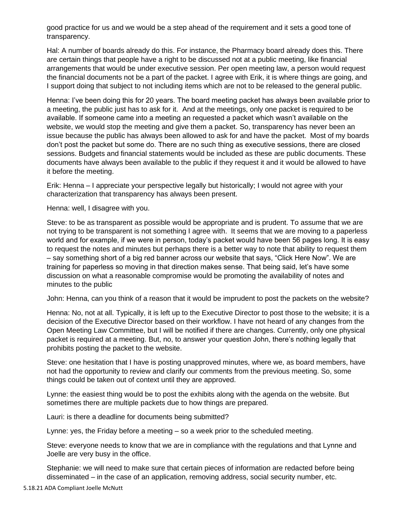good practice for us and we would be a step ahead of the requirement and it sets a good tone of transparency.

Hal: A number of boards already do this. For instance, the Pharmacy board already does this. There are certain things that people have a right to be discussed not at a public meeting, like financial arrangements that would be under executive session. Per open meeting law, a person would request the financial documents not be a part of the packet. I agree with Erik, it is where things are going, and I support doing that subject to not including items which are not to be released to the general public.

Henna: I've been doing this for 20 years. The board meeting packet has always been available prior to a meeting, the public just has to ask for it. And at the meetings, only one packet is required to be available. If someone came into a meeting an requested a packet which wasn't available on the website, we would stop the meeting and give them a packet. So, transparency has never been an issue because the public has always been allowed to ask for and have the packet. Most of my boards don't post the packet but some do. There are no such thing as executive sessions, there are closed sessions. Budgets and financial statements would be included as these are public documents. These documents have always been available to the public if they request it and it would be allowed to have it before the meeting.

Erik: Henna – I appreciate your perspective legally but historically; I would not agree with your characterization that transparency has always been present.

Henna: well, I disagree with you.

Steve: to be as transparent as possible would be appropriate and is prudent. To assume that we are not trying to be transparent is not something I agree with. It seems that we are moving to a paperless world and for example, if we were in person, today's packet would have been 56 pages long. It is easy to request the notes and minutes but perhaps there is a better way to note that ability to request them – say something short of a big red banner across our website that says, "Click Here Now". We are training for paperless so moving in that direction makes sense. That being said, let's have some discussion on what a reasonable compromise would be promoting the availability of notes and minutes to the public

John: Henna, can you think of a reason that it would be imprudent to post the packets on the website?

Henna: No, not at all. Typically, it is left up to the Executive Director to post those to the website; it is a decision of the Executive Director based on their workflow. I have not heard of any changes from the Open Meeting Law Committee, but I will be notified if there are changes. Currently, only one physical packet is required at a meeting. But, no, to answer your question John, there's nothing legally that prohibits posting the packet to the website.

Steve: one hesitation that I have is posting unapproved minutes, where we, as board members, have not had the opportunity to review and clarify our comments from the previous meeting. So, some things could be taken out of context until they are approved.

Lynne: the easiest thing would be to post the exhibits along with the agenda on the website. But sometimes there are multiple packets due to how things are prepared.

Lauri: is there a deadline for documents being submitted?

Lynne: yes, the Friday before a meeting – so a week prior to the scheduled meeting.

Steve: everyone needs to know that we are in compliance with the regulations and that Lynne and Joelle are very busy in the office.

Stephanie: we will need to make sure that certain pieces of information are redacted before being disseminated – in the case of an application, removing address, social security number, etc.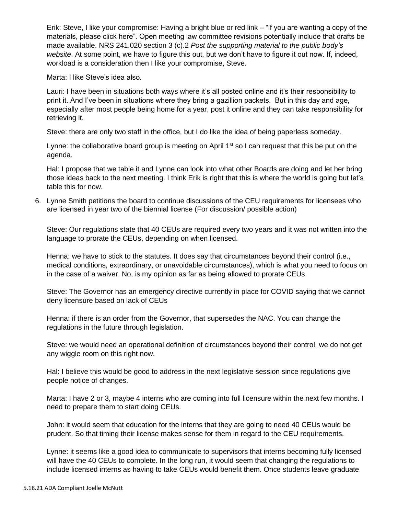Erik: Steve, I like your compromise: Having a bright blue or red link – "if you are wanting a copy of the materials, please click here". Open meeting law committee revisions potentially include that drafts be made available. NRS 241.020 section 3 (c).2 *Post the supporting material to the public body's website*. At some point, we have to figure this out, but we don't have to figure it out now. If, indeed, workload is a consideration then I like your compromise, Steve.

Marta: I like Steve's idea also.

Lauri: I have been in situations both ways where it's all posted online and it's their responsibility to print it. And I've been in situations where they bring a gazillion packets. But in this day and age, especially after most people being home for a year, post it online and they can take responsibility for retrieving it.

Steve: there are only two staff in the office, but I do like the idea of being paperless someday.

Lynne: the collaborative board group is meeting on April  $1<sup>st</sup>$  so I can request that this be put on the agenda.

Hal: I propose that we table it and Lynne can look into what other Boards are doing and let her bring those ideas back to the next meeting. I think Erik is right that this is where the world is going but let's table this for now.

6. Lynne Smith petitions the board to continue discussions of the CEU requirements for licensees who are licensed in year two of the biennial license (For discussion/ possible action)

Steve: Our regulations state that 40 CEUs are required every two years and it was not written into the language to prorate the CEUs, depending on when licensed.

Henna: we have to stick to the statutes. It does say that circumstances beyond their control (i.e., medical conditions, extraordinary, or unavoidable circumstances), which is what you need to focus on in the case of a waiver. No, is my opinion as far as being allowed to prorate CEUs.

Steve: The Governor has an emergency directive currently in place for COVID saying that we cannot deny licensure based on lack of CEUs

Henna: if there is an order from the Governor, that supersedes the NAC. You can change the regulations in the future through legislation.

Steve: we would need an operational definition of circumstances beyond their control, we do not get any wiggle room on this right now.

Hal: I believe this would be good to address in the next legislative session since regulations give people notice of changes.

Marta: I have 2 or 3, maybe 4 interns who are coming into full licensure within the next few months. I need to prepare them to start doing CEUs.

John: it would seem that education for the interns that they are going to need 40 CEUs would be prudent. So that timing their license makes sense for them in regard to the CEU requirements.

Lynne: it seems like a good idea to communicate to supervisors that interns becoming fully licensed will have the 40 CEUs to complete. In the long run, it would seem that changing the regulations to include licensed interns as having to take CEUs would benefit them. Once students leave graduate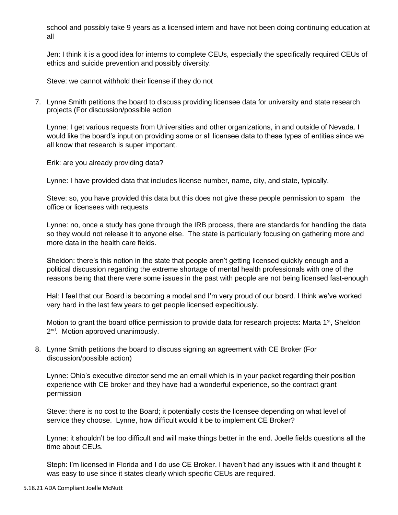school and possibly take 9 years as a licensed intern and have not been doing continuing education at all

Jen: I think it is a good idea for interns to complete CEUs, especially the specifically required CEUs of ethics and suicide prevention and possibly diversity.

Steve: we cannot withhold their license if they do not

7. Lynne Smith petitions the board to discuss providing licensee data for university and state research projects (For discussion/possible action

Lynne: I get various requests from Universities and other organizations, in and outside of Nevada. I would like the board's input on providing some or all licensee data to these types of entities since we all know that research is super important.

Erik: are you already providing data?

Lynne: I have provided data that includes license number, name, city, and state, typically.

Steve: so, you have provided this data but this does not give these people permission to spam the office or licensees with requests

Lynne: no, once a study has gone through the IRB process, there are standards for handling the data so they would not release it to anyone else. The state is particularly focusing on gathering more and more data in the health care fields.

Sheldon: there's this notion in the state that people aren't getting licensed quickly enough and a political discussion regarding the extreme shortage of mental health professionals with one of the reasons being that there were some issues in the past with people are not being licensed fast-enough

Hal: I feel that our Board is becoming a model and I'm very proud of our board. I think we've worked very hard in the last few years to get people licensed expeditiously.

Motion to grant the board office permission to provide data for research projects: Marta  $1<sup>st</sup>$ , Sheldon 2<sup>nd</sup>. Motion approved unanimously.

8. Lynne Smith petitions the board to discuss signing an agreement with CE Broker (For discussion/possible action)

Lynne: Ohio's executive director send me an email which is in your packet regarding their position experience with CE broker and they have had a wonderful experience, so the contract grant permission

Steve: there is no cost to the Board; it potentially costs the licensee depending on what level of service they choose. Lynne, how difficult would it be to implement CE Broker?

Lynne: it shouldn't be too difficult and will make things better in the end. Joelle fields questions all the time about CEUs.

Steph: I'm licensed in Florida and I do use CE Broker. I haven't had any issues with it and thought it was easy to use since it states clearly which specific CEUs are required.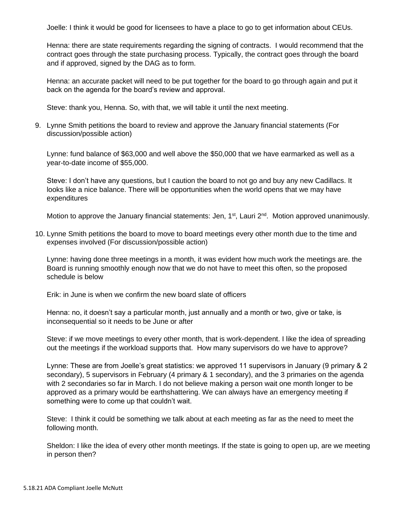Joelle: I think it would be good for licensees to have a place to go to get information about CEUs.

Henna: there are state requirements regarding the signing of contracts. I would recommend that the contract goes through the state purchasing process. Typically, the contract goes through the board and if approved, signed by the DAG as to form.

Henna: an accurate packet will need to be put together for the board to go through again and put it back on the agenda for the board's review and approval.

Steve: thank you, Henna. So, with that, we will table it until the next meeting.

9. Lynne Smith petitions the board to review and approve the January financial statements (For discussion/possible action)

Lynne: fund balance of \$63,000 and well above the \$50,000 that we have earmarked as well as a year-to-date income of \$55,000.

Steve: I don't have any questions, but I caution the board to not go and buy any new Cadillacs. It looks like a nice balance. There will be opportunities when the world opens that we may have expenditures

Motion to approve the January financial statements: Jen, 1<sup>st</sup>, Lauri 2<sup>nd</sup>. Motion approved unanimously.

10. Lynne Smith petitions the board to move to board meetings every other month due to the time and expenses involved (For discussion/possible action)

Lynne: having done three meetings in a month, it was evident how much work the meetings are. the Board is running smoothly enough now that we do not have to meet this often, so the proposed schedule is below

Erik: in June is when we confirm the new board slate of officers

Henna: no, it doesn't say a particular month, just annually and a month or two, give or take, is inconsequential so it needs to be June or after

Steve: if we move meetings to every other month, that is work-dependent. I like the idea of spreading out the meetings if the workload supports that. How many supervisors do we have to approve?

Lynne: These are from Joelle's great statistics: we approved 11 supervisors in January (9 primary & 2 secondary), 5 supervisors in February (4 primary & 1 secondary), and the 3 primaries on the agenda with 2 secondaries so far in March. I do not believe making a person wait one month longer to be approved as a primary would be earthshattering. We can always have an emergency meeting if something were to come up that couldn't wait.

Steve: I think it could be something we talk about at each meeting as far as the need to meet the following month.

Sheldon: I like the idea of every other month meetings. If the state is going to open up, are we meeting in person then?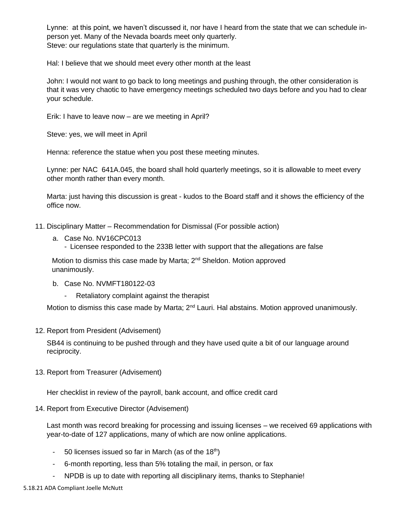Lynne: at this point, we haven't discussed it, nor have I heard from the state that we can schedule inperson yet. Many of the Nevada boards meet only quarterly. Steve: our regulations state that quarterly is the minimum.

Hal: I believe that we should meet every other month at the least

John: I would not want to go back to long meetings and pushing through, the other consideration is that it was very chaotic to have emergency meetings scheduled two days before and you had to clear your schedule.

Erik: I have to leave now – are we meeting in April?

Steve: yes, we will meet in April

Henna: reference the statue when you post these meeting minutes.

Lynne: per NAC 641A.045, the board shall hold quarterly meetings, so it is allowable to meet every other month rather than every month.

Marta: just having this discussion is great - kudos to the Board staff and it shows the efficiency of the office now.

- 11. Disciplinary Matter Recommendation for Dismissal (For possible action)
	- a. Case No. NV16CPC013
		- Licensee responded to the 233B letter with support that the allegations are false

Motion to dismiss this case made by Marta; 2<sup>nd</sup> Sheldon. Motion approved unanimously.

- b. Case No. NVMFT180122-03
	- Retaliatory complaint against the therapist

Motion to dismiss this case made by Marta; 2<sup>nd</sup> Lauri. Hal abstains. Motion approved unanimously.

12. Report from President (Advisement)

SB44 is continuing to be pushed through and they have used quite a bit of our language around reciprocity.

13. Report from Treasurer (Advisement)

Her checklist in review of the payroll, bank account, and office credit card

14. Report from Executive Director (Advisement)

Last month was record breaking for processing and issuing licenses – we received 69 applications with year-to-date of 127 applications, many of which are now online applications.

- 50 licenses issued so far in March (as of the 18<sup>th</sup>)
- 6-month reporting, less than 5% totaling the mail, in person, or fax
- NPDB is up to date with reporting all disciplinary items, thanks to Stephanie!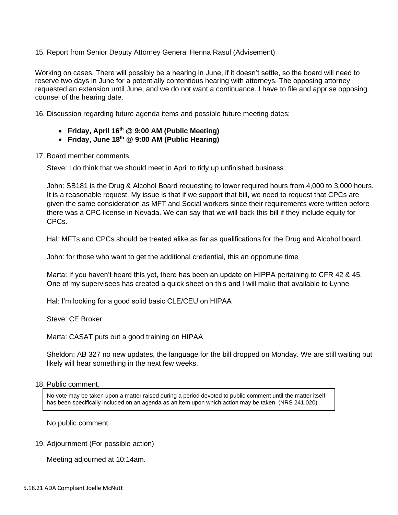15. Report from Senior Deputy Attorney General Henna Rasul (Advisement)

Working on cases. There will possibly be a hearing in June, if it doesn't settle, so the board will need to reserve two days in June for a potentially contentious hearing with attorneys. The opposing attorney requested an extension until June, and we do not want a continuance. I have to file and apprise opposing counsel of the hearing date.

16. Discussion regarding future agenda items and possible future meeting dates:

- **Friday, April 16th @ 9:00 AM (Public Meeting)**
- **Friday, June 18th @ 9:00 AM (Public Hearing)**
- 17. Board member comments

Steve: I do think that we should meet in April to tidy up unfinished business

John: SB181 is the Drug & Alcohol Board requesting to lower required hours from 4,000 to 3,000 hours. It is a reasonable request. My issue is that if we support that bill, we need to request that CPCs are given the same consideration as MFT and Social workers since their requirements were written before there was a CPC license in Nevada. We can say that we will back this bill if they include equity for CPCs.

Hal: MFTs and CPCs should be treated alike as far as qualifications for the Drug and Alcohol board.

John: for those who want to get the additional credential, this an opportune time

Marta: If you haven't heard this yet, there has been an update on HIPPA pertaining to CFR 42 & 45. One of my supervisees has created a quick sheet on this and I will make that available to Lynne

Hal: I'm looking for a good solid basic CLE/CEU on HIPAA

Steve: CE Broker

Marta: CASAT puts out a good training on HIPAA

Sheldon: AB 327 no new updates, the language for the bill dropped on Monday. We are still waiting but likely will hear something in the next few weeks.

#### 18. Public comment.

No vote may be taken upon a matter raised during a period devoted to public comment until the matter itself has been specifically included on an agenda as an item upon which action may be taken. (NRS 241.020)

No public comment.

### 19. Adjournment (For possible action)

Meeting adjourned at 10:14am.